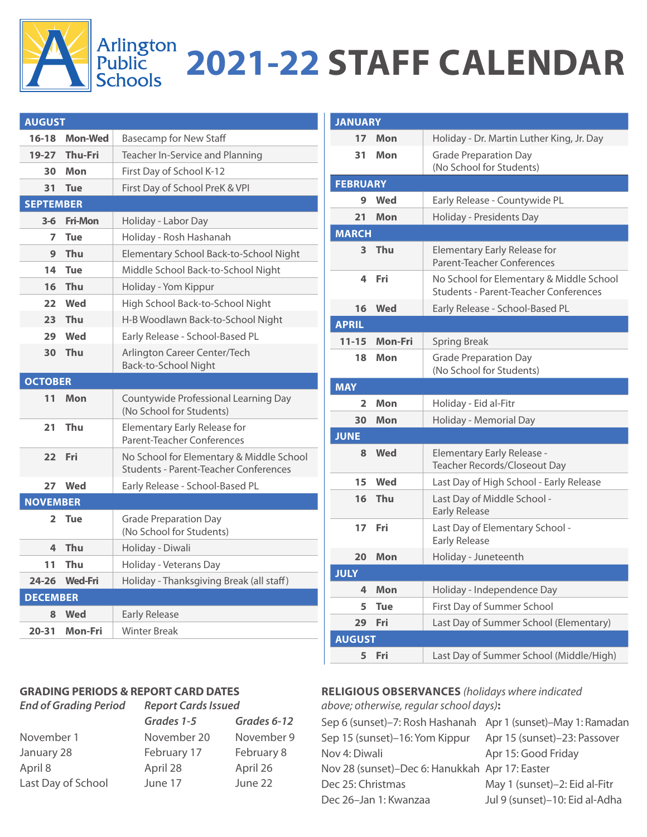

## Arlington<br>Public 2021-22 STAFF CALENDAR

| <b>AUGUST</b>    |                |                                                                                          |
|------------------|----------------|------------------------------------------------------------------------------------------|
| $16 - 18$        | <b>Mon-Wed</b> | <b>Basecamp for New Staff</b>                                                            |
|                  | 19-27 Thu-Fri  | Teacher In-Service and Planning                                                          |
| 30               | Mon            | First Day of School K-12                                                                 |
| 31               | <b>Tue</b>     | First Day of School PreK & VPI                                                           |
| <b>SEPTEMBER</b> |                |                                                                                          |
| $3-6$            | <b>Fri-Mon</b> | Holiday - Labor Day                                                                      |
| 7                | <b>Tue</b>     | Holiday - Rosh Hashanah                                                                  |
| 9                | Thu            | Elementary School Back-to-School Night                                                   |
| 14               | <b>Tue</b>     | Middle School Back-to-School Night                                                       |
| 16               | <b>Thu</b>     | Holiday - Yom Kippur                                                                     |
| 22               | Wed            | High School Back-to-School Night                                                         |
| 23               | Thu            | H-B Woodlawn Back-to-School Night                                                        |
| 29               | Wed            | Early Release - School-Based PL                                                          |
| 30               | Thu            | Arlington Career Center/Tech<br>Back-to-School Night                                     |
| <b>OCTOBER</b>   |                |                                                                                          |
| 11               | Mon            | Countywide Professional Learning Day<br>(No School for Students)                         |
| 21               |                |                                                                                          |
|                  | Thu            | <b>Elementary Early Release for</b><br>Parent-Teacher Conferences                        |
| 22               | Fri            | No School for Elementary & Middle School<br><b>Students - Parent-Teacher Conferences</b> |
|                  | 27 Wed         | Early Release - School-Based PL                                                          |
| <b>NOVEMBER</b>  |                |                                                                                          |
| $\overline{2}$   | <b>Tue</b>     | <b>Grade Preparation Day</b><br>(No School for Students)                                 |
| 4                | <b>Thu</b>     | Holiday - Diwali                                                                         |
| 11               | Thu            | Holiday - Veterans Day                                                                   |
| $24 - 26$        | <b>Wed-Fri</b> | Holiday - Thanksgiving Break (all staff)                                                 |
| <b>DECEMBER</b>  |                |                                                                                          |
| 8                | Wed            | <b>Early Release</b>                                                                     |

## **GRADING PERIODS & REPORT CARD DATES**

*End of Grading Period Report Cards Issued Grades 1-5 Grades 6-12* November 1 November 20 November 9 January 28 February 17 February 8 April 8 April 28 April 26 Last Day of School June 17 June 22

| <b>JANUARY</b>  |            |                                                                                          |
|-----------------|------------|------------------------------------------------------------------------------------------|
| 17              | Mon        | Holiday - Dr. Martin Luther King, Jr. Day                                                |
| 31              | Mon        | <b>Grade Preparation Day</b><br>(No School for Students)                                 |
| <b>FEBRUARY</b> |            |                                                                                          |
| 9               | Wed        | Early Release - Countywide PL                                                            |
| 21              | Mon        | Holiday - Presidents Day                                                                 |
| <b>MARCH</b>    |            |                                                                                          |
| 3               | Thu        | Elementary Early Release for<br>Parent-Teacher Conferences                               |
| 4               | Fri        | No School for Elementary & Middle School<br><b>Students - Parent-Teacher Conferences</b> |
| 16              | Wed        | Early Release - School-Based PL                                                          |
| <b>APRIL</b>    |            |                                                                                          |
| $11 - 15$       | Mon-Fri    | <b>Spring Break</b>                                                                      |
| 18              | Mon        | <b>Grade Preparation Day</b><br>(No School for Students)                                 |
| <b>MAY</b>      |            |                                                                                          |
| 2               | Mon        | Holiday - Eid al-Fitr                                                                    |
| 30              | Mon        | Holiday - Memorial Day                                                                   |
| <b>JUNE</b>     |            |                                                                                          |
| 8               | Wed        | Elementary Early Release -<br>Teacher Records/Closeout Day                               |
| 15              | <b>Wed</b> | Last Day of High School - Early Release                                                  |
| 16              | Thu        | Last Day of Middle School -<br><b>Early Release</b>                                      |
| 17              | Fri        | Last Day of Elementary School -<br><b>Early Release</b>                                  |
| 20              | Mon        | Holiday - Juneteenth                                                                     |
| <b>JULY</b>     |            |                                                                                          |
| 4               | Mon        | Holiday - Independence Day                                                               |
| 5               | <b>Tue</b> | First Day of Summer School                                                               |
| 29              | Fri        | Last Day of Summer School (Elementary)                                                   |
| <b>AUGUST</b>   |            |                                                                                          |
| 5               | Fri        | Last Day of Summer School (Middle/High)                                                  |

## **RELIGIOUS OBSERVANCES** *(holidays where indicated*

*above; otherwise, regular school days)***:**

| Sep 6 (sunset)-7: Rosh Hashanah Apr 1 (sunset)-May 1: Ramadan |                                |
|---------------------------------------------------------------|--------------------------------|
| Sep 15 (sunset)-16: Yom Kippur                                | Apr 15 (sunset)-23: Passover   |
| Nov 4: Diwali                                                 | Apr 15: Good Friday            |
| Nov 28 (sunset)-Dec 6: Hanukkah Apr 17: Easter                |                                |
| Dec 25: Christmas                                             | May 1 (sunset)-2: Eid al-Fitr  |
| Dec 26-Jan 1: Kwanzaa                                         | Jul 9 (sunset)-10: Eid al-Adha |